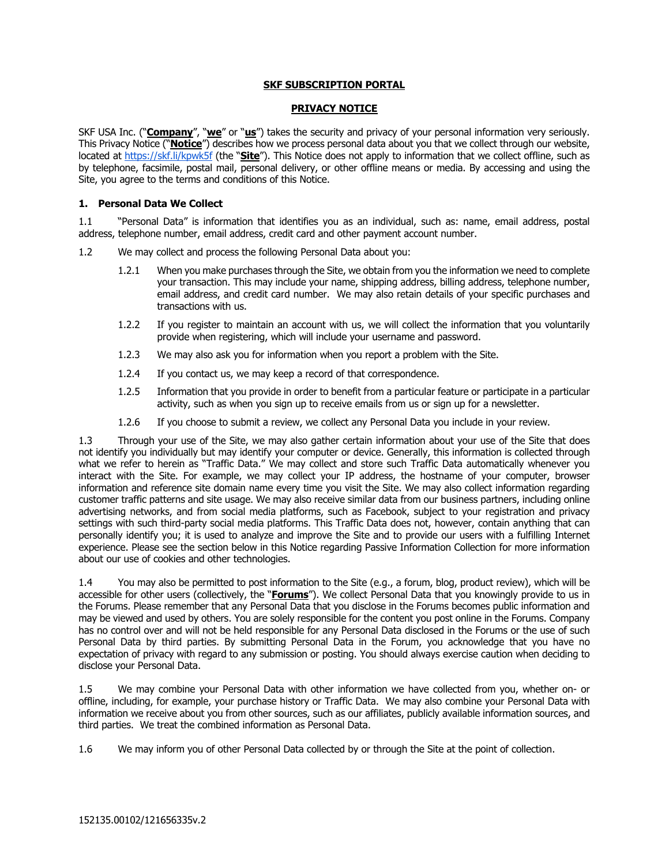## **SKF SUBSCRIPTION PORTAL**

#### **PRIVACY NOTICE**

SKF USA Inc. ("**Company**", "**we**" or "**us**") takes the security and privacy of your personal information very seriously. This Privacy Notice ("**Notice**") describes how we process personal data about you that we collect through our website, located a[t https://skf.li/kpwk5f](https://us.promo.skf.com/acton/media/22336/mainpage-all-intro-us-all-pulsesub2021?utm_source=skfcom_all&utm_medium=landingpage&utm_campaign=pulsesub2021&utm_term=NAM&utm_content=connectedtechnologies) (the "**Site**"). This Notice does not apply to information that we collect offline, such as by telephone, facsimile, postal mail, personal delivery, or other offline means or media. By accessing and using the Site, you agree to the terms and conditions of this Notice.

#### **1. Personal Data We Collect**

1.1 "Personal Data" is information that identifies you as an individual, such as: name, email address, postal address, telephone number, email address, credit card and other payment account number.

- 1.2 We may collect and process the following Personal Data about you:
	- 1.2.1 When you make purchases through the Site, we obtain from you the information we need to complete your transaction. This may include your name, shipping address, billing address, telephone number, email address, and credit card number. We may also retain details of your specific purchases and transactions with us.
	- 1.2.2 If you register to maintain an account with us, we will collect the information that you voluntarily provide when registering, which will include your username and password.
	- 1.2.3 We may also ask you for information when you report a problem with the Site.
	- 1.2.4 If you contact us, we may keep a record of that correspondence.
	- 1.2.5 Information that you provide in order to benefit from a particular feature or participate in a particular activity, such as when you sign up to receive emails from us or sign up for a newsletter.
	- 1.2.6 If you choose to submit a review, we collect any Personal Data you include in your review.

1.3 Through your use of the Site, we may also gather certain information about your use of the Site that does not identify you individually but may identify your computer or device. Generally, this information is collected through what we refer to herein as "Traffic Data." We may collect and store such Traffic Data automatically whenever you interact with the Site. For example, we may collect your IP address, the hostname of your computer, browser information and reference site domain name every time you visit the Site. We may also collect information regarding customer traffic patterns and site usage. We may also receive similar data from our business partners, including online advertising networks, and from social media platforms, such as Facebook, subject to your registration and privacy settings with such third-party social media platforms. This Traffic Data does not, however, contain anything that can personally identify you; it is used to analyze and improve the Site and to provide our users with a fulfilling Internet experience. Please see the section below in this Notice regarding Passive Information Collection for more information about our use of cookies and other technologies.

1.4 You may also be permitted to post information to the Site (e.g., a forum, blog, product review), which will be accessible for other users (collectively, the "**Forums**"). We collect Personal Data that you knowingly provide to us in the Forums. Please remember that any Personal Data that you disclose in the Forums becomes public information and may be viewed and used by others. You are solely responsible for the content you post online in the Forums. Company has no control over and will not be held responsible for any Personal Data disclosed in the Forums or the use of such Personal Data by third parties. By submitting Personal Data in the Forum, you acknowledge that you have no expectation of privacy with regard to any submission or posting. You should always exercise caution when deciding to disclose your Personal Data.

1.5 We may combine your Personal Data with other information we have collected from you, whether on- or offline, including, for example, your purchase history or Traffic Data. We may also combine your Personal Data with information we receive about you from other sources, such as our affiliates, publicly available information sources, and third parties. We treat the combined information as Personal Data.

1.6 We may inform you of other Personal Data collected by or through the Site at the point of collection.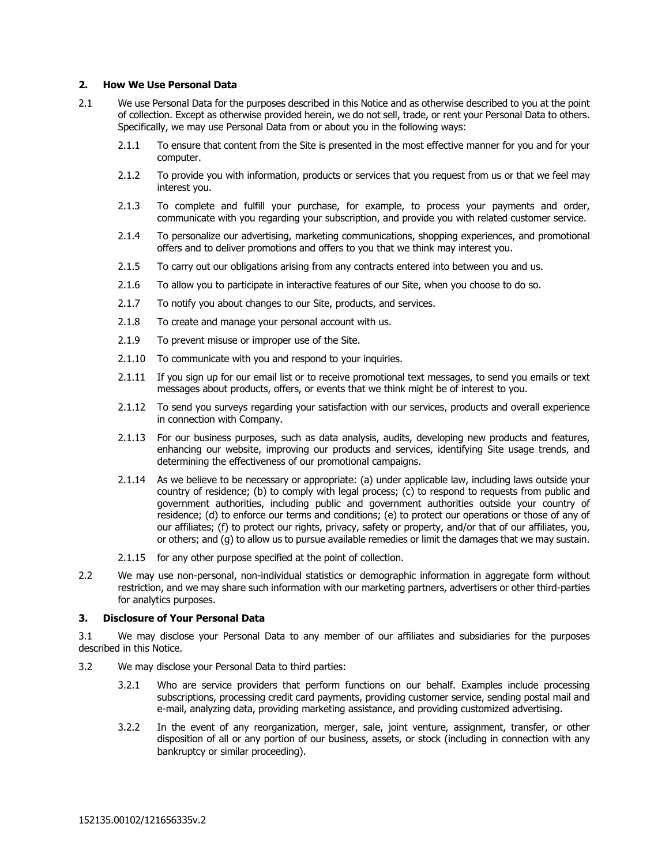#### **2. How We Use Personal Data**

- 2.1 We use Personal Data for the purposes described in this Notice and as otherwise described to you at the point of collection. Except as otherwise provided herein, we do not sell, trade, or rent your Personal Data to others. Specifically, we may use Personal Data from or about you in the following ways:
	- 2.1.1 To ensure that content from the Site is presented in the most effective manner for you and for your computer.
	- 2.1.2 To provide you with information, products or services that you request from us or that we feel may interest you.
	- 2.1.3 To complete and fulfill your purchase, for example, to process your payments and order, communicate with you regarding your subscription, and provide you with related customer service.
	- 2.1.4 To personalize our advertising, marketing communications, shopping experiences, and promotional offers and to deliver promotions and offers to you that we think may interest you.
	- 2.1.5 To carry out our obligations arising from any contracts entered into between you and us.
	- 2.1.6 To allow you to participate in interactive features of our Site, when you choose to do so.
	- 2.1.7 To notify you about changes to our Site, products, and services.
	- 2.1.8 To create and manage your personal account with us.
	- 2.1.9 To prevent misuse or improper use of the Site.
	- 2.1.10 To communicate with you and respond to your inquiries.
	- 2.1.11 If you sign up for our email list or to receive promotional text messages, to send you emails or text messages about products, offers, or events that we think might be of interest to you.
	- 2.1.12 To send you surveys regarding your satisfaction with our services, products and overall experience in connection with Company.
	- 2.1.13 For our business purposes, such as data analysis, audits, developing new products and features, enhancing our website, improving our products and services, identifying Site usage trends, and determining the effectiveness of our promotional campaigns.
	- 2.1.14 As we believe to be necessary or appropriate: (a) under applicable law, including laws outside your country of residence; (b) to comply with legal process; (c) to respond to requests from public and government authorities, including public and government authorities outside your country of residence; (d) to enforce our terms and conditions; (e) to protect our operations or those of any of our affiliates; (f) to protect our rights, privacy, safety or property, and/or that of our affiliates, you, or others; and (g) to allow us to pursue available remedies or limit the damages that we may sustain.
	- 2.1.15 for any other purpose specified at the point of collection.
- 2.2 We may use non-personal, non-individual statistics or demographic information in aggregate form without restriction, and we may share such information with our marketing partners, advertisers or other third-parties for analytics purposes.

### **3. Disclosure of Your Personal Data**

3.1 We may disclose your Personal Data to any member of our affiliates and subsidiaries for the purposes described in this Notice.

- 3.2 We may disclose your Personal Data to third parties:
	- 3.2.1 Who are service providers that perform functions on our behalf. Examples include processing subscriptions, processing credit card payments, providing customer service, sending postal mail and e-mail, analyzing data, providing marketing assistance, and providing customized advertising.
	- 3.2.2 In the event of any reorganization, merger, sale, joint venture, assignment, transfer, or other disposition of all or any portion of our business, assets, or stock (including in connection with any bankruptcy or similar proceeding).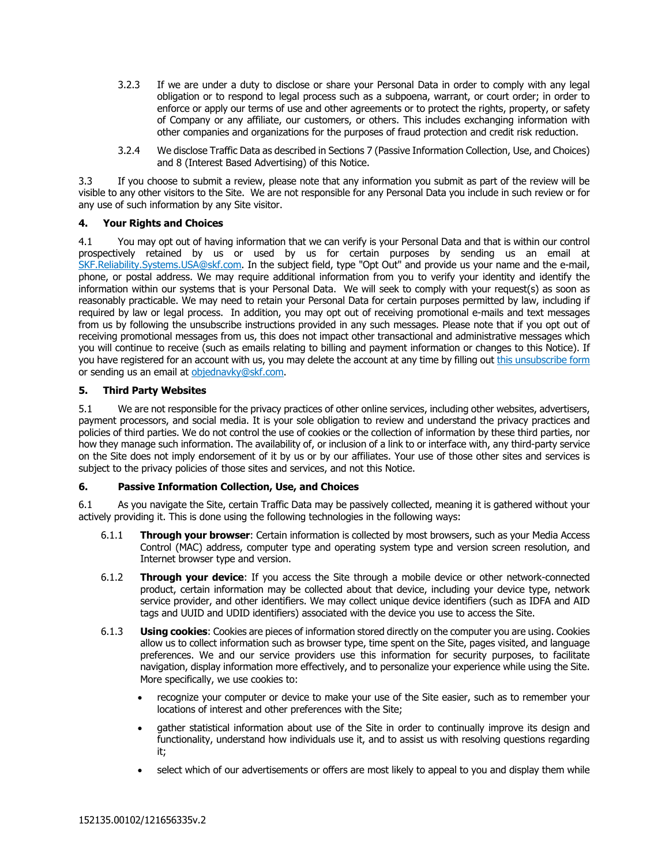- 3.2.3 If we are under a duty to disclose or share your Personal Data in order to comply with any legal obligation or to respond to legal process such as a subpoena, warrant, or court order; in order to enforce or apply our terms of use and other agreements or to protect the rights, property, or safety of Company or any affiliate, our customers, or others. This includes exchanging information with other companies and organizations for the purposes of fraud protection and credit risk reduction.
- 3.2.4 We disclose Traffic Data as described in Sections 7 (Passive Information Collection, Use, and Choices) and 8 (Interest Based Advertising) of this Notice.

3.3 If you choose to submit a review, please note that any information you submit as part of the review will be visible to any other visitors to the Site. We are not responsible for any Personal Data you include in such review or for any use of such information by any Site visitor.

# **4. Your Rights and Choices**

4.1 You may opt out of having information that we can verify is your Personal Data and that is within our control prospectively retained by us or used by us for certain purposes by sending us an email at SKF.Reliability.Systems.USA@skf.com. In the subject field, type "Opt Out" and provide us your name and the e-mail, phone, or postal address. We may require additional information from you to verify your identity and identify the information within our systems that is your Personal Data. We will seek to comply with your request(s) as soon as reasonably practicable. We may need to retain your Personal Data for certain purposes permitted by law, including if required by law or legal process. In addition, you may opt out of receiving promotional e-mails and text messages from us by following the unsubscribe instructions provided in any such messages. Please note that if you opt out of receiving promotional messages from us, this does not impact other transactional and administrative messages which you will continue to receive (such as emails relating to billing and payment information or changes to this Notice). If you have registered for an account with us, you may delete the account at any time by filling out [this unsubscribe form](https://skf.li/bj2ozr) or sending us an email at [objednavky@skf.com.](mailto:objednavky@skf.com)

## **5. Third Party Websites**

5.1 We are not responsible for the privacy practices of other online services, including other websites, advertisers, payment processors, and social media. It is your sole obligation to review and understand the privacy practices and policies of third parties. We do not control the use of cookies or the collection of information by these third parties, nor how they manage such information. The availability of, or inclusion of a link to or interface with, any third-party service on the Site does not imply endorsement of it by us or by our affiliates. Your use of those other sites and services is subject to the privacy policies of those sites and services, and not this Notice.

## **6. Passive Information Collection, Use, and Choices**

6.1 As you navigate the Site, certain Traffic Data may be passively collected, meaning it is gathered without your actively providing it. This is done using the following technologies in the following ways:

- 6.1.1 **Through your browser**: Certain information is collected by most browsers, such as your Media Access Control (MAC) address, computer type and operating system type and version screen resolution, and Internet browser type and version.
- 6.1.2 **Through your device**: If you access the Site through a mobile device or other network-connected product, certain information may be collected about that device, including your device type, network service provider, and other identifiers. We may collect unique device identifiers (such as IDFA and AID tags and UUID and UDID identifiers) associated with the device you use to access the Site.
- 6.1.3 **Using cookies**: Cookies are pieces of information stored directly on the computer you are using. Cookies allow us to collect information such as browser type, time spent on the Site, pages visited, and language preferences. We and our service providers use this information for security purposes, to facilitate navigation, display information more effectively, and to personalize your experience while using the Site. More specifically, we use cookies to:
	- recognize your computer or device to make your use of the Site easier, such as to remember your locations of interest and other preferences with the Site;
	- gather statistical information about use of the Site in order to continually improve its design and functionality, understand how individuals use it, and to assist us with resolving questions regarding it;
	- select which of our advertisements or offers are most likely to appeal to you and display them while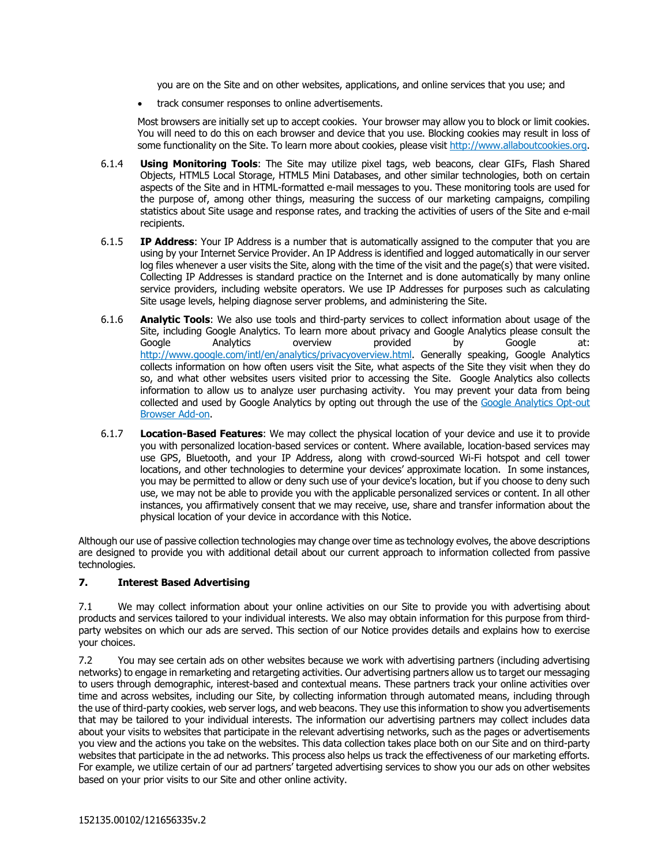you are on the Site and on other websites, applications, and online services that you use; and

• track consumer responses to online advertisements.

Most browsers are initially set up to accept cookies. Your browser may allow you to block or limit cookies. You will need to do this on each browser and device that you use. Blocking cookies may result in loss of some functionality on the Site. To learn more about cookies, please visit [http://www.allaboutcookies.org.](https://www.allaboutcookies.org/verify)

- 6.1.4 **Using Monitoring Tools**: The Site may utilize pixel tags, web beacons, clear GIFs, Flash Shared Objects, HTML5 Local Storage, HTML5 Mini Databases, and other similar technologies, both on certain aspects of the Site and in HTML-formatted e-mail messages to you. These monitoring tools are used for the purpose of, among other things, measuring the success of our marketing campaigns, compiling statistics about Site usage and response rates, and tracking the activities of users of the Site and e-mail recipients.
- 6.1.5 **IP Address**: Your IP Address is a number that is automatically assigned to the computer that you are using by your Internet Service Provider. An IP Address is identified and logged automatically in our server log files whenever a user visits the Site, along with the time of the visit and the page(s) that were visited. Collecting IP Addresses is standard practice on the Internet and is done automatically by many online service providers, including website operators. We use IP Addresses for purposes such as calculating Site usage levels, helping diagnose server problems, and administering the Site.
- 6.1.6 **Analytic Tools**: We also use tools and third-party services to collect information about usage of the Site, including Google Analytics. To learn more about privacy and Google Analytics please consult the Google Analytics overview provided by Google at: [http://www.google.com/intl/en/analytics/privacyoverview.html.](https://marketingplatform.google.com/about/) Generally speaking, Google Analytics collects information on how often users visit the Site, what aspects of the Site they visit when they do so, and what other websites users visited prior to accessing the Site. Google Analytics also collects information to allow us to analyze user purchasing activity. You may prevent your data from being collected and used by Google Analytics by opting out through the use of the Google Analytics Opt-out [Browser Add-on.](https://tools.google.com/dlpage/gaoptout/)
- 6.1.7 **Location-Based Features**: We may collect the physical location of your device and use it to provide you with personalized location-based services or content. Where available, location-based services may use GPS, Bluetooth, and your IP Address, along with crowd-sourced Wi-Fi hotspot and cell tower locations, and other technologies to determine your devices' approximate location. In some instances, you may be permitted to allow or deny such use of your device's location, but if you choose to deny such use, we may not be able to provide you with the applicable personalized services or content. In all other instances, you affirmatively consent that we may receive, use, share and transfer information about the physical location of your device in accordance with this Notice.

Although our use of passive collection technologies may change over time as technology evolves, the above descriptions are designed to provide you with additional detail about our current approach to information collected from passive technologies.

#### **7. Interest Based Advertising**

7.1 We may collect information about your online activities on our Site to provide you with advertising about products and services tailored to your individual interests. We also may obtain information for this purpose from thirdparty websites on which our ads are served. This section of our Notice provides details and explains how to exercise your choices.

7.2 You may see certain ads on other websites because we work with advertising partners (including advertising networks) to engage in remarketing and retargeting activities. Our advertising partners allow us to target our messaging to users through demographic, interest-based and contextual means. These partners track your online activities over time and across websites, including our Site, by collecting information through automated means, including through the use of third-party cookies, web server logs, and web beacons. They use this information to show you advertisements that may be tailored to your individual interests. The information our advertising partners may collect includes data about your visits to websites that participate in the relevant advertising networks, such as the pages or advertisements you view and the actions you take on the websites. This data collection takes place both on our Site and on third-party websites that participate in the ad networks. This process also helps us track the effectiveness of our marketing efforts. For example, we utilize certain of our ad partners' targeted advertising services to show you our ads on other websites based on your prior visits to our Site and other online activity.